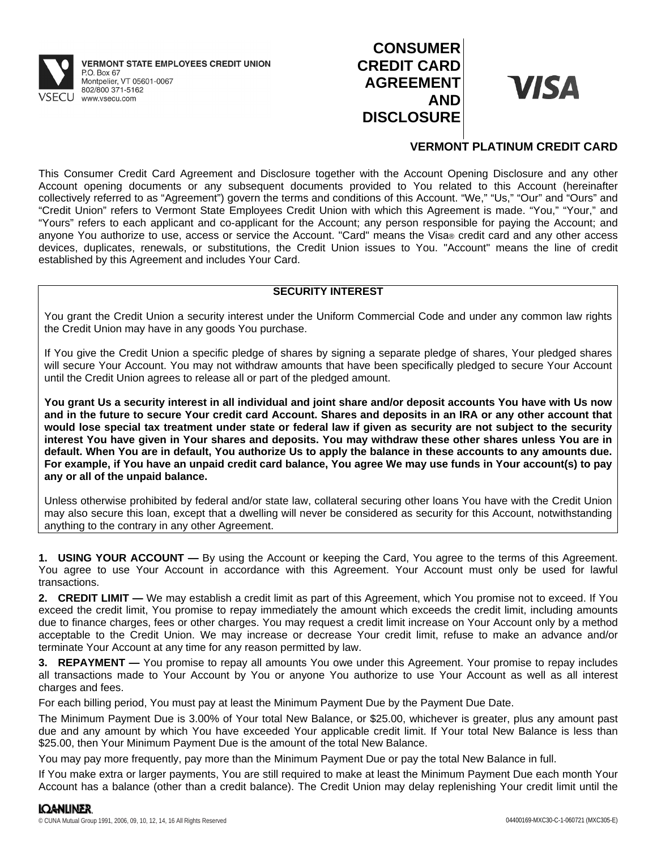

# **CONSUMER CREDIT CARD AGREEMENT AND DISCLOSURE**



# **VERMONT PLATINUM CREDIT CARD**

This Consumer Credit Card Agreement and Disclosure together with the Account Opening Disclosure and any other Account opening documents or any subsequent documents provided to You related to this Account (hereinafter collectively referred to as "Agreement") govern the terms and conditions of this Account. "We," "Us," "Our" and "Ours" and "Credit Union" refers to Vermont State Employees Credit Union with which this Agreement is made. "You," "Your," and "Yours" refers to each applicant and co-applicant for the Account; any person responsible for paying the Account; and anyone You authorize to use, access or service the Account. "Card" means the Visa® credit card and any other access devices, duplicates, renewals, or substitutions, the Credit Union issues to You. "Account" means the line of credit established by this Agreement and includes Your Card.

## **SECURITY INTEREST**

You grant the Credit Union a security interest under the Uniform Commercial Code and under any common law rights the Credit Union may have in any goods You purchase.

If You give the Credit Union a specific pledge of shares by signing a separate pledge of shares, Your pledged shares will secure Your Account. You may not withdraw amounts that have been specifically pledged to secure Your Account until the Credit Union agrees to release all or part of the pledged amount.

You grant Us a security interest in all individual and joint share and/or deposit accounts You have with Us now and in the future to secure Your credit card Account. Shares and deposits in an IRA or any other account that would lose special tax treatment under state or federal law if given as security are not subject to the security interest You have given in Your shares and deposits. You may withdraw these other shares unless You are in default. When You are in default, You authorize Us to apply the balance in these accounts to any amounts due. For example, if You have an unpaid credit card balance, You agree We may use funds in Your account(s) to pay **any or all of the unpaid balance.**

Unless otherwise prohibited by federal and/or state law, collateral securing other loans You have with the Credit Union may also secure this loan, except that a dwelling will never be considered as security for this Account, notwithstanding anything to the contrary in any other Agreement.

**1. USING YOUR ACCOUNT —** By using the Account or keeping the Card, You agree to the terms of this Agreement. You agree to use Your Account in accordance with this Agreement. Your Account must only be used for lawful transactions.

**2. CREDIT LIMIT —** We may establish a credit limit as part of this Agreement, which You promise not to exceed. If You exceed the credit limit, You promise to repay immediately the amount which exceeds the credit limit, including amounts due to finance charges, fees or other charges. You may request a credit limit increase on Your Account only by a method acceptable to the Credit Union. We may increase or decrease Your credit limit, refuse to make an advance and/or terminate Your Account at any time for any reason permitted by law.

**3. REPAYMENT —** You promise to repay all amounts You owe under this Agreement. Your promise to repay includes all transactions made to Your Account by You or anyone You authorize to use Your Account as well as all interest charges and fees.

For each billing period, You must pay at least the Minimum Payment Due by the Payment Due Date.

The Minimum Payment Due is 3.00% of Your total New Balance, or \$25.00, whichever is greater, plus any amount past due and any amount by which You have exceeded Your applicable credit limit. If Your total New Balance is less than \$25.00, then Your Minimum Payment Due is the amount of the total New Balance.

You may pay more frequently, pay more than the Minimum Payment Due or pay the total New Balance in full.

If You make extra or larger payments, You are still required to make at least the Minimum Payment Due each month Your Account has a balance (other than a credit balance). The Credit Union may delay replenishing Your credit limit until the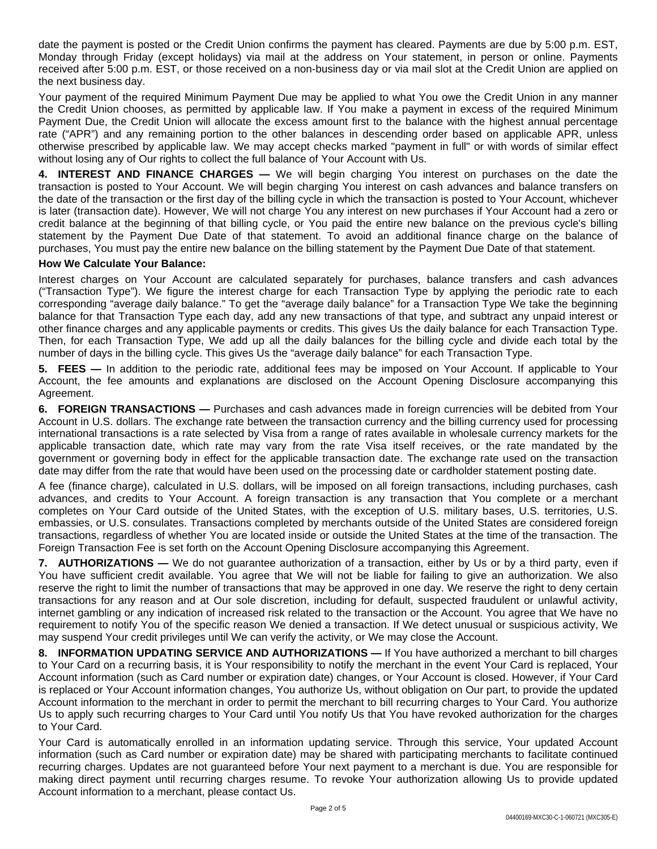date the payment is posted or the Credit Union confirms the payment has cleared. Payments are due by 5:00 p.m. EST, Monday through Friday (except holidays) via mail at the address on Your statement, in person or online. Payments received after 5:00 p.m. EST, or those received on a non-business day or via mail slot at the Credit Union are applied on the next business day.

Your payment of the required Minimum Payment Due may be applied to what You owe the Credit Union in any manner the Credit Union chooses, as permitted by applicable law. If You make a payment in excess of the required Minimum Payment Due, the Credit Union will allocate the excess amount first to the balance with the highest annual percentage rate ("APR") and any remaining portion to the other balances in descending order based on applicable APR, unless otherwise prescribed by applicable law. We may accept checks marked "payment in full" or with words of similar effect without losing any of Our rights to collect the full balance of Your Account with Us.

**4. INTEREST AND FINANCE CHARGES —** We will begin charging You interest on purchases on the date the transaction is posted to Your Account. We will begin charging You interest on cash advances and balance transfers on the date of the transaction or the first day of the billing cycle in which the transaction is posted to Your Account, whichever is later (transaction date). However, We will not charge You any interest on new purchases if Your Account had a zero or credit balance at the beginning of that billing cycle, or You paid the entire new balance on the previous cycle's billing statement by the Payment Due Date of that statement. To avoid an additional finance charge on the balance of purchases, You must pay the entire new balance on the billing statement by the Payment Due Date of that statement.

## **How We Calculate Your Balance:**

Interest charges on Your Account are calculated separately for purchases, balance transfers and cash advances ("Transaction Type"). We figure the interest charge for each Transaction Type by applying the periodic rate to each corresponding "average daily balance." To get the "average daily balance" for a Transaction Type We take the beginning balance for that Transaction Type each day, add any new transactions of that type, and subtract any unpaid interest or other finance charges and any applicable payments or credits. This gives Us the daily balance for each Transaction Type. Then, for each Transaction Type, We add up all the daily balances for the billing cycle and divide each total by the number of days in the billing cycle. This gives Us the "average daily balance" for each Transaction Type.

**5. FEES —** In addition to the periodic rate, additional fees may be imposed on Your Account. If applicable to Your Account, the fee amounts and explanations are disclosed on the Account Opening Disclosure accompanying this Agreement.

**6. FOREIGN TRANSACTIONS —** Purchases and cash advances made in foreign currencies will be debited from Your Account in U.S. dollars. The exchange rate between the transaction currency and the billing currency used for processing international transactions is a rate selected by Visa from a range of rates available in wholesale currency markets for the applicable transaction date, which rate may vary from the rate Visa itself receives, or the rate mandated by the government or governing body in effect for the applicable transaction date. The exchange rate used on the transaction date may differ from the rate that would have been used on the processing date or cardholder statement posting date.

A fee (finance charge), calculated in U.S. dollars, will be imposed on all foreign transactions, including purchases, cash advances, and credits to Your Account. A foreign transaction is any transaction that You complete or a merchant completes on Your Card outside of the United States, with the exception of U.S. military bases, U.S. territories, U.S. embassies, or U.S. consulates. Transactions completed by merchants outside of the United States are considered foreign transactions, regardless of whether You are located inside or outside the United States at the time of the transaction. The Foreign Transaction Fee is set forth on the Account Opening Disclosure accompanying this Agreement.

**7. AUTHORIZATIONS —** We do not guarantee authorization of a transaction, either by Us or by a third party, even if You have sufficient credit available. You agree that We will not be liable for failing to give an authorization. We also reserve the right to limit the number of transactions that may be approved in one day. We reserve the right to deny certain transactions for any reason and at Our sole discretion, including for default, suspected fraudulent or unlawful activity, internet gambling or any indication of increased risk related to the transaction or the Account. You agree that We have no requirement to notify You of the specific reason We denied a transaction. If We detect unusual or suspicious activity, We may suspend Your credit privileges until We can verify the activity, or We may close the Account.

**8. INFORMATION UPDATING SERVICE AND AUTHORIZATIONS —** If You have authorized a merchant to bill charges to Your Card on a recurring basis, it is Your responsibility to notify the merchant in the event Your Card is replaced, Your Account information (such as Card number or expiration date) changes, or Your Account is closed. However, if Your Card is replaced or Your Account information changes, You authorize Us, without obligation on Our part, to provide the updated Account information to the merchant in order to permit the merchant to bill recurring charges to Your Card. You authorize Us to apply such recurring charges to Your Card until You notify Us that You have revoked authorization for the charges to Your Card.

Your Card is automatically enrolled in an information updating service. Through this service, Your updated Account information (such as Card number or expiration date) may be shared with participating merchants to facilitate continued recurring charges. Updates are not guaranteed before Your next payment to a merchant is due. You are responsible for making direct payment until recurring charges resume. To revoke Your authorization allowing Us to provide updated Account information to a merchant, please contact Us.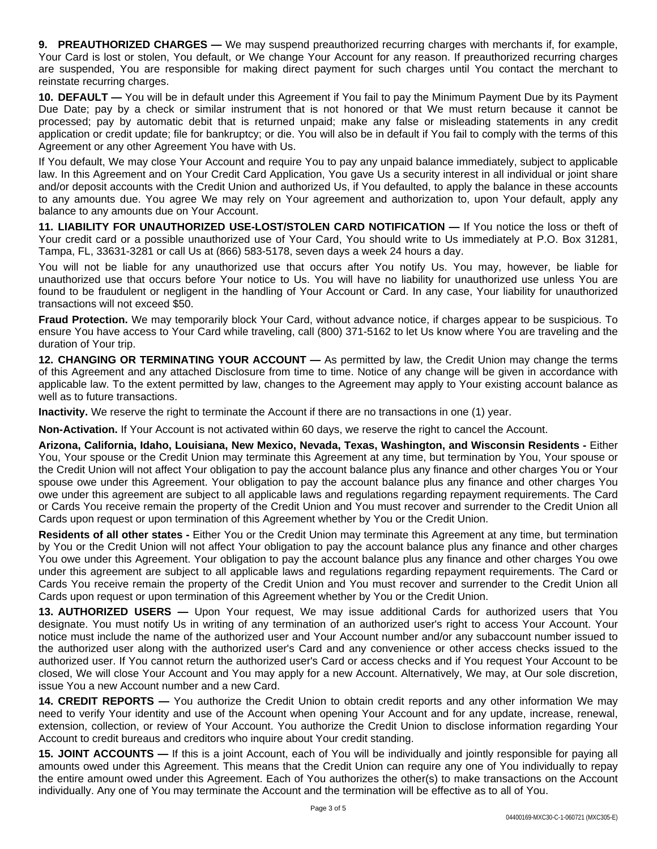**9. PREAUTHORIZED CHARGES —** We may suspend preauthorized recurring charges with merchants if, for example, Your Card is lost or stolen, You default, or We change Your Account for any reason. If preauthorized recurring charges are suspended, You are responsible for making direct payment for such charges until You contact the merchant to reinstate recurring charges.

**10. DEFAULT —** You will be in default under this Agreement if You fail to pay the Minimum Payment Due by its Payment Due Date; pay by a check or similar instrument that is not honored or that We must return because it cannot be processed; pay by automatic debit that is returned unpaid; make any false or misleading statements in any credit application or credit update; file for bankruptcy; or die. You will also be in default if You fail to comply with the terms of this Agreement or any other Agreement You have with Us.

If You default, We may close Your Account and require You to pay any unpaid balance immediately, subject to applicable law. In this Agreement and on Your Credit Card Application, You gave Us a security interest in all individual or joint share and/or deposit accounts with the Credit Union and authorized Us, if You defaulted, to apply the balance in these accounts to any amounts due. You agree We may rely on Your agreement and authorization to, upon Your default, apply any balance to any amounts due on Your Account.

**11. LIABILITY FOR UNAUTHORIZED USE-LOST/STOLEN CARD NOTIFICATION —** If You notice the loss or theft of Your credit card or a possible unauthorized use of Your Card, You should write to Us immediately at P.O. Box 31281, Tampa, FL, 33631-3281 or call Us at (866) 583-5178, seven days a week 24 hours a day.

You will not be liable for any unauthorized use that occurs after You notify Us. You may, however, be liable for unauthorized use that occurs before Your notice to Us. You will have no liability for unauthorized use unless You are found to be fraudulent or negligent in the handling of Your Account or Card. In any case, Your liability for unauthorized transactions will not exceed \$50.

**Fraud Protection.** We may temporarily block Your Card, without advance notice, if charges appear to be suspicious. To ensure You have access to Your Card while traveling, call (800) 371-5162 to let Us know where You are traveling and the duration of Your trip.

**12. CHANGING OR TERMINATING YOUR ACCOUNT —** As permitted by law, the Credit Union may change the terms of this Agreement and any attached Disclosure from time to time. Notice of any change will be given in accordance with applicable law. To the extent permitted by law, changes to the Agreement may apply to Your existing account balance as well as to future transactions.

**Inactivity.** We reserve the right to terminate the Account if there are no transactions in one (1) year.

**Non-Activation.** If Your Account is not activated within 60 days, we reserve the right to cancel the Account.

**Arizona, California, Idaho, Louisiana, New Mexico, Nevada, Texas, Washington, and Wisconsin Residents -** Either You, Your spouse or the Credit Union may terminate this Agreement at any time, but termination by You, Your spouse or the Credit Union will not affect Your obligation to pay the account balance plus any finance and other charges You or Your spouse owe under this Agreement. Your obligation to pay the account balance plus any finance and other charges You owe under this agreement are subject to all applicable laws and regulations regarding repayment requirements. The Card or Cards You receive remain the property of the Credit Union and You must recover and surrender to the Credit Union all Cards upon request or upon termination of this Agreement whether by You or the Credit Union.

**Residents of all other states -** Either You or the Credit Union may terminate this Agreement at any time, but termination by You or the Credit Union will not affect Your obligation to pay the account balance plus any finance and other charges You owe under this Agreement. Your obligation to pay the account balance plus any finance and other charges You owe under this agreement are subject to all applicable laws and regulations regarding repayment requirements. The Card or Cards You receive remain the property of the Credit Union and You must recover and surrender to the Credit Union all Cards upon request or upon termination of this Agreement whether by You or the Credit Union.

**13. AUTHORIZED USERS —** Upon Your request, We may issue additional Cards for authorized users that You designate. You must notify Us in writing of any termination of an authorized user's right to access Your Account. Your notice must include the name of the authorized user and Your Account number and/or any subaccount number issued to the authorized user along with the authorized user's Card and any convenience or other access checks issued to the authorized user. If You cannot return the authorized user's Card or access checks and if You request Your Account to be closed, We will close Your Account and You may apply for a new Account. Alternatively, We may, at Our sole discretion, issue You a new Account number and a new Card.

**14. CREDIT REPORTS —** You authorize the Credit Union to obtain credit reports and any other information We may need to verify Your identity and use of the Account when opening Your Account and for any update, increase, renewal, extension, collection, or review of Your Account. You authorize the Credit Union to disclose information regarding Your Account to credit bureaus and creditors who inquire about Your credit standing.

**15. JOINT ACCOUNTS —** If this is a joint Account, each of You will be individually and jointly responsible for paying all amounts owed under this Agreement. This means that the Credit Union can require any one of You individually to repay the entire amount owed under this Agreement. Each of You authorizes the other(s) to make transactions on the Account individually. Any one of You may terminate the Account and the termination will be effective as to all of You.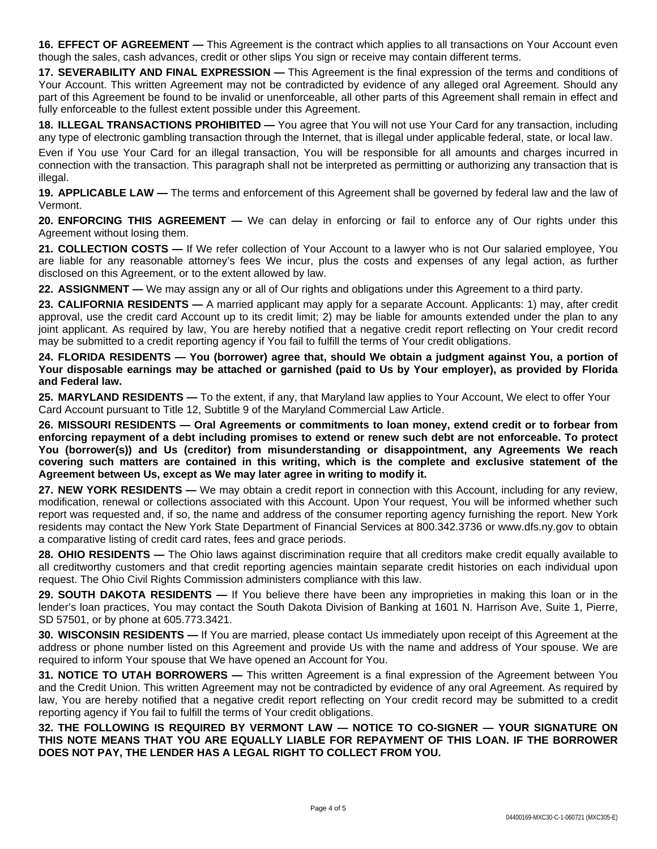**16. EFFECT OF AGREEMENT —** This Agreement is the contract which applies to all transactions on Your Account even though the sales, cash advances, credit or other slips You sign or receive may contain different terms.

**17. SEVERABILITY AND FINAL EXPRESSION —** This Agreement is the final expression of the terms and conditions of Your Account. This written Agreement may not be contradicted by evidence of any alleged oral Agreement. Should any part of this Agreement be found to be invalid or unenforceable, all other parts of this Agreement shall remain in effect and fully enforceable to the fullest extent possible under this Agreement.

**18. ILLEGAL TRANSACTIONS PROHIBITED —** You agree that You will not use Your Card for any transaction, including any type of electronic gambling transaction through the Internet, that is illegal under applicable federal, state, or local law.

Even if You use Your Card for an illegal transaction, You will be responsible for all amounts and charges incurred in connection with the transaction. This paragraph shall not be interpreted as permitting or authorizing any transaction that is illegal.

**19. APPLICABLE LAW —** The terms and enforcement of this Agreement shall be governed by federal law and the law of Vermont.

**20. ENFORCING THIS AGREEMENT —** We can delay in enforcing or fail to enforce any of Our rights under this Agreement without losing them.

**21. COLLECTION COSTS —** If We refer collection of Your Account to a lawyer who is not Our salaried employee, You are liable for any reasonable attorney's fees We incur, plus the costs and expenses of any legal action, as further disclosed on this Agreement, or to the extent allowed by law.

**22. ASSIGNMENT —** We may assign any or all of Our rights and obligations under this Agreement to a third party.

**23. CALIFORNIA RESIDENTS —** A married applicant may apply for a separate Account. Applicants: 1) may, after credit approval, use the credit card Account up to its credit limit; 2) may be liable for amounts extended under the plan to any joint applicant. As required by law, You are hereby notified that a negative credit report reflecting on Your credit record may be submitted to a credit reporting agency if You fail to fulfill the terms of Your credit obligations.

24. FLORIDA RESIDENTS — You (borrower) agree that, should We obtain a judgment against You, a portion of Your disposable earnings may be attached or garnished (paid to Us by Your employer), as provided by Florida **and Federal law.**

**25. MARYLAND RESIDENTS —** To the extent, if any, that Maryland law applies to Your Account, We elect to offer Your Card Account pursuant to Title 12, Subtitle 9 of the Maryland Commercial Law Article.

**26. MISSOURI RESIDENTS — Oral Agreements or commitments to loan money, extend credit or to forbear from** enforcing repayment of a debt including promises to extend or renew such debt are not enforceable. To protect **You (borrower(s)) and Us (creditor) from misunderstanding or disappointment, any Agreements We reach covering such matters are contained in this writing, which is the complete and exclusive statement of the Agreement between Us, except as We may later agree in writing to modify it.**

**27. NEW YORK RESIDENTS —** We may obtain a credit report in connection with this Account, including for any review, modification, renewal or collections associated with this Account. Upon Your request, You will be informed whether such report was requested and, if so, the name and address of the consumer reporting agency furnishing the report. New York residents may contact the New York State Department of Financial Services at 800.342.3736 or www.dfs.ny.gov to obtain a comparative listing of credit card rates, fees and grace periods.

**28. OHIO RESIDENTS** — The Ohio laws against discrimination require that all creditors make credit equally available to all creditworthy customers and that credit reporting agencies maintain separate credit histories on each individual upon request. The Ohio Civil Rights Commission administers compliance with this law.

**29. SOUTH DAKOTA RESIDENTS —** If You believe there have been any improprieties in making this loan or in the lender's loan practices, You may contact the South Dakota Division of Banking at 1601 N. Harrison Ave, Suite 1, Pierre, SD 57501, or by phone at 605.773.3421.

**30. WISCONSIN RESIDENTS —** If You are married, please contact Us immediately upon receipt of this Agreement at the address or phone number listed on this Agreement and provide Us with the name and address of Your spouse. We are required to inform Your spouse that We have opened an Account for You.

**31. NOTICE TO UTAH BORROWERS —** This written Agreement is a final expression of the Agreement between You and the Credit Union. This written Agreement may not be contradicted by evidence of any oral Agreement. As required by law, You are hereby notified that a negative credit report reflecting on Your credit record may be submitted to a credit reporting agency if You fail to fulfill the terms of Your credit obligations.

**32. THE FOLLOWING IS REQUIRED BY VERMONT LAW — NOTICE TO CO-SIGNER — YOUR SIGNATURE ON THIS NOTE MEANS THAT YOU ARE EQUALLY LIABLE FOR REPAYMENT OF THIS LOAN. IF THE BORROWER DOES NOT PAY, THE LENDER HAS A LEGAL RIGHT TO COLLECT FROM YOU.**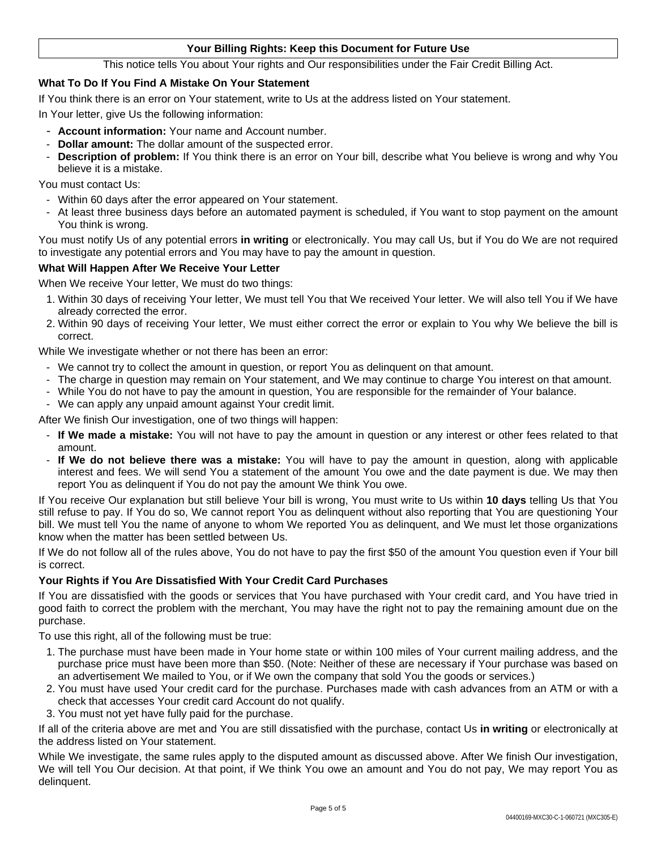## **Your Billing Rights: Keep this Document for Future Use**

This notice tells You about Your rights and Our responsibilities under the Fair Credit Billing Act.

## **What To Do If You Find A Mistake On Your Statement**

If You think there is an error on Your statement, write to Us at the address listed on Your statement.

In Your letter, give Us the following information:

- **Account information:** Your name and Account number.
- **Dollar amount:** The dollar amount of the suspected error.
- **Description of problem:** If You think there is an error on Your bill, describe what You believe is wrong and why You believe it is a mistake.

You must contact Us:

- Within 60 days after the error appeared on Your statement.
- At least three business days before an automated payment is scheduled, if You want to stop payment on the amount You think is wrong.

You must notify Us of any potential errors **in writing** or electronically. You may call Us, but if You do We are not required to investigate any potential errors and You may have to pay the amount in question.

### **What Will Happen After We Receive Your Letter**

When We receive Your letter, We must do two things:

- 1. Within 30 days of receiving Your letter, We must tell You that We received Your letter. We will also tell You if We have already corrected the error.
- 2. Within 90 days of receiving Your letter, We must either correct the error or explain to You why We believe the bill is correct.

While We investigate whether or not there has been an error:

- We cannot try to collect the amount in question, or report You as delinquent on that amount.
- The charge in question may remain on Your statement, and We may continue to charge You interest on that amount.
- While You do not have to pay the amount in question, You are responsible for the remainder of Your balance.
- We can apply any unpaid amount against Your credit limit.

After We finish Our investigation, one of two things will happen:

- **If We made a mistake:** You will not have to pay the amount in question or any interest or other fees related to that amount.
- **If We do not believe there was a mistake:** You will have to pay the amount in question, along with applicable interest and fees. We will send You a statement of the amount You owe and the date payment is due. We may then report You as delinquent if You do not pay the amount We think You owe.

If You receive Our explanation but still believe Your bill is wrong, You must write to Us within **10 days** telling Us that You still refuse to pay. If You do so, We cannot report You as delinquent without also reporting that You are questioning Your bill. We must tell You the name of anyone to whom We reported You as delinquent, and We must let those organizations know when the matter has been settled between Us.

If We do not follow all of the rules above, You do not have to pay the first \$50 of the amount You question even if Your bill is correct.

### **Your Rights if You Are Dissatisfied With Your Credit Card Purchases**

If You are dissatisfied with the goods or services that You have purchased with Your credit card, and You have tried in good faith to correct the problem with the merchant, You may have the right not to pay the remaining amount due on the purchase.

To use this right, all of the following must be true:

- 1. The purchase must have been made in Your home state or within 100 miles of Your current mailing address, and the purchase price must have been more than \$50. (Note: Neither of these are necessary if Your purchase was based on an advertisement We mailed to You, or if We own the company that sold You the goods or services.)
- 2. You must have used Your credit card for the purchase. Purchases made with cash advances from an ATM or with a check that accesses Your credit card Account do not qualify.
- 3. You must not yet have fully paid for the purchase.

If all of the criteria above are met and You are still dissatisfied with the purchase, contact Us **in writing** or electronically at the address listed on Your statement.

While We investigate, the same rules apply to the disputed amount as discussed above. After We finish Our investigation, We will tell You Our decision. At that point, if We think You owe an amount and You do not pay, We may report You as delinquent.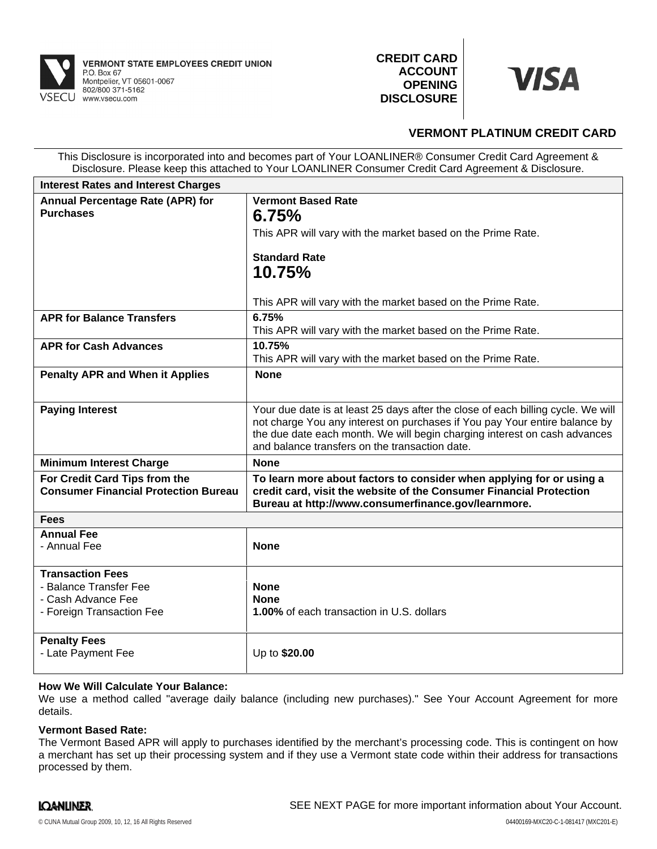

**CREDIT CARD ACCOUNT OPENING DISCLOSURE**



# **VERMONT PLATINUM CREDIT CARD**

This Disclosure is incorporated into and becomes part of Your LOANLINER® Consumer Credit Card Agreement & Disclosure. Please keep this attached to Your LOANLINER Consumer Credit Card Agreement & Disclosure.

| <b>Interest Rates and Interest Charges</b>                                   |                                                                                                                                                                                                                                                                                               |
|------------------------------------------------------------------------------|-----------------------------------------------------------------------------------------------------------------------------------------------------------------------------------------------------------------------------------------------------------------------------------------------|
| Annual Percentage Rate (APR) for<br><b>Purchases</b>                         | <b>Vermont Based Rate</b><br>6.75%                                                                                                                                                                                                                                                            |
|                                                                              | This APR will vary with the market based on the Prime Rate.                                                                                                                                                                                                                                   |
|                                                                              | <b>Standard Rate</b><br>10.75%                                                                                                                                                                                                                                                                |
|                                                                              | This APR will vary with the market based on the Prime Rate.                                                                                                                                                                                                                                   |
| <b>APR for Balance Transfers</b>                                             | 6.75%<br>This APR will vary with the market based on the Prime Rate.                                                                                                                                                                                                                          |
| <b>APR for Cash Advances</b>                                                 | 10.75%<br>This APR will vary with the market based on the Prime Rate.                                                                                                                                                                                                                         |
| <b>Penalty APR and When it Applies</b>                                       | <b>None</b>                                                                                                                                                                                                                                                                                   |
| <b>Paying Interest</b>                                                       | Your due date is at least 25 days after the close of each billing cycle. We will<br>not charge You any interest on purchases if You pay Your entire balance by<br>the due date each month. We will begin charging interest on cash advances<br>and balance transfers on the transaction date. |
| <b>Minimum Interest Charge</b>                                               | <b>None</b>                                                                                                                                                                                                                                                                                   |
| For Credit Card Tips from the<br><b>Consumer Financial Protection Bureau</b> | To learn more about factors to consider when applying for or using a<br>credit card, visit the website of the Consumer Financial Protection<br>Bureau at http://www.consumerfinance.gov/learnmore.                                                                                            |
| <b>Fees</b>                                                                  |                                                                                                                                                                                                                                                                                               |
| <b>Annual Fee</b><br>- Annual Fee                                            | <b>None</b>                                                                                                                                                                                                                                                                                   |
| <b>Transaction Fees</b>                                                      |                                                                                                                                                                                                                                                                                               |
| - Balance Transfer Fee                                                       | <b>None</b>                                                                                                                                                                                                                                                                                   |
| - Cash Advance Fee<br>- Foreign Transaction Fee                              | <b>None</b><br><b>1.00%</b> of each transaction in U.S. dollars                                                                                                                                                                                                                               |
| <b>Penalty Fees</b><br>- Late Payment Fee                                    | Up to \$20.00                                                                                                                                                                                                                                                                                 |

## **How We Will Calculate Your Balance:**

We use a method called "average daily balance (including new purchases)." See Your Account Agreement for more details.

# **Vermont Based Rate:**

The Vermont Based APR will apply to purchases identified by the merchant's processing code. This is contingent on how a merchant has set up their processing system and if they use a Vermont state code within their address for transactions processed by them.